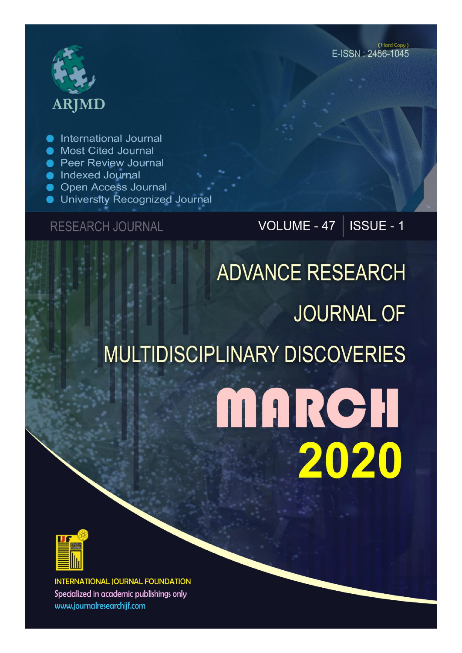# **ARJMD**

International Journal

- Most Cited Journal
- **Peer Review Journal**
- lndexed Journal
- **Open Access Journal**
- University Recognized Journal

**RESEARCH JOURNAL** 

VOLUME - 47 |  $\overline{\text{ISSUE}}$  - 1

# **ADVANCE RESEARCH JOURNAL OF MULTIDISCIPLINARY DISCOVERIES** MARCH 2020



**INTERNATIONAL JOURNAL FOUNDATION** Specialized in academic publishings only www.journalresearchijf.com

(Hard Copy) E-ISSN: 2456-1045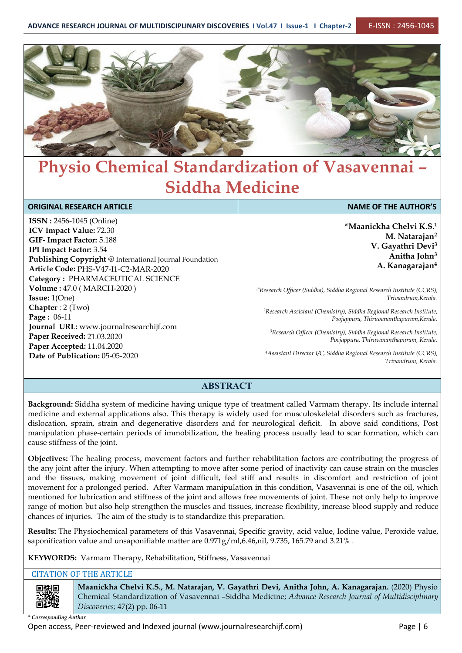

# **Physio Chemical Standardization of Vasavennai – Siddha Medicine**

| <b>ORIGINAL RESEARCH ARTICLE</b>                        | <b>NAME OF THE AUTHOR'S</b>                                                         |
|---------------------------------------------------------|-------------------------------------------------------------------------------------|
| <b>ISSN: 2456-1045 (Online)</b>                         | *Maanickha Chelvi K.S. <sup>1</sup>                                                 |
| ICV Impact Value: 72.30                                 |                                                                                     |
| GIF-Impact Factor: 5.188                                | M. Natarajan <sup>2</sup>                                                           |
| <b>IPI Impact Factor: 3.54</b>                          | V. Gayathri Devi <sup>3</sup>                                                       |
| Publishing Copyright @ International Journal Foundation | Anitha John <sup>3</sup>                                                            |
| Article Code: PHS-V47-I1-C2-MAR-2020                    | A. Kanagarajan <sup>4</sup>                                                         |
| Category: PHARMACEUTICAL SCIENCE                        |                                                                                     |
| Volume: 47.0 (MARCH-2020)                               | <sup>1*</sup> Research Officer (Siddha), Siddha Regional Research Institute (CCRS), |
| <b>Issue:</b> $1(One)$                                  | Trivandrum, Kerala.                                                                 |
| Chapter : $2$ (Two)                                     | <sup>2</sup> Research Assistant (Chemistry), Siddha Regional Research Institute,    |
| Page: 06-11                                             | Poojappura, Thiruvananthapuram, Kerala.                                             |
| Journal URL: www.journalresearchijf.com                 |                                                                                     |
| Paper Received: 21.03.2020                              | <sup>3</sup> Research Officer (Chemistry), Siddha Regional Research Institute,      |
| Paper Accepted: 11.04.2020                              | Poojappura, Thiruvananthapuram, Kerala.                                             |
| Date of Publication: 05-05-2020                         | <sup>4</sup> Assistant Director I/C, Siddha Regional Research Institute (CCRS),     |
|                                                         | Trivandrum, Kerala.                                                                 |

#### **ABSTRACT**

**Background:** Siddha system of medicine having unique type of treatment called Varmam therapy. Its include internal medicine and external applications also. This therapy is widely used for musculoskeletal disorders such as fractures, dislocation, sprain, strain and degenerative disorders and for neurological deficit. In above said conditions, Post manipulation phase-certain periods of immobilization, the healing process usually lead toscar formation, which can cause stiffness of the joint.

**Objectives:** The healing process, movement factors and further rehabilitation factors are contributing the progress of the any joint after the injury. When attempting to move after some period of inactivity can cause strain on the muscles and the tissues, making movement of joint difficult, feel stiff and results in discomfort and restriction of joint movement for a prolonged period. After Varmam manipulation in this condition, Vasavennai is one of the oil, which mentioned for lubrication and stiffness of the joint and allows free movements of joint. These not only help to improve range of motion but also help strengthen the muscles and tissues, increase flexibility, increase blood supply and reduce chances of injuries. The aim of the study is to standardize this preparation.

**Results:** The Physiochemical parameters of this Vasavennai, Specific gravity, acid value, Iodine value, Peroxide value, saponification value and unsaponifiable matter are 0.971g/ml,6.46,nil, 9.735, 165.79 and 3.21% .

**KEYWORDS:** Varmam Therapy, Rehabilitation, Stiffness, Vasavennai

#### CITATION OF THE ARTICLE

**Maanickha Chelvi K.S., M. Natarajan, V. Gayathri Devi, Anitha John, A. Kanagarajan.** (2020) Physio Chemical Standardization of Vasavennai –Siddha Medicine; *Advance Research Journal of Multidisciplinary Discoveries;* 47(2) pp. 06-11

*\* Corresponding Author*

Open access, Peer-reviewed and Indexed journal (www.journalresearchijf.com) Page |6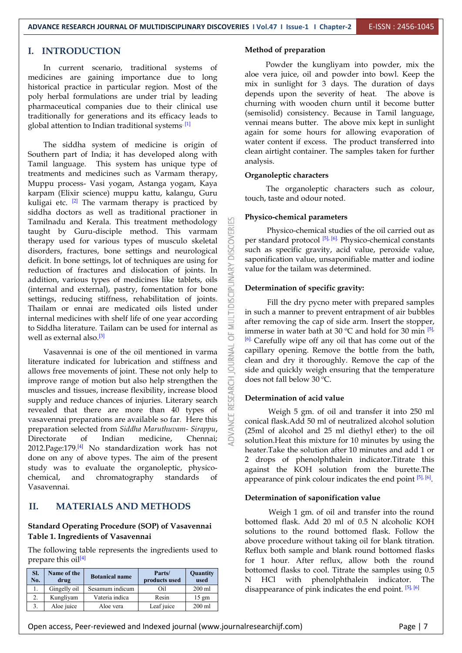#### **I. INTRODUCTION**

In current scenario, traditional systems of medicines are gaining importance due to long historical practice in particular region. Most of the poly herbal formulations are under trial by leading pharmaceutical companies due to their clinical use traditionally for generations and its efficacy leads to global attention to Indian traditional systems <sup>[1]</sup>

The siddha system of medicine is origin of Southern part of India; it has developed along with Tamil language. This system has unique type of treatments and medicines such as Varmam therapy, Muppu process- Vasi yogam, Astanga yogam, Kaya karpam (Elixir science) muppu kattu, kalangu, Guru kuligai etc. <sup>[2]</sup> The varmam therapy is practiced by **contract to the line** siddha doctors as well as traditional practioner in Tamilnadu and Kerala. This treatment methodology<br>taught by Guru-disciple method. This varmam taught by Guru-disciple method. This varmam<br>therapy used for various types of musculo skeletal<br>disorders, fractures, bone settings and neurological<br>definition and the state of the same contribution therapy used for various types of musculo skeletal disorders, fractures, bone settings and neurological deficit. In bone settings, lot of techniques are using for<br>reduction of fractures and dislocation of joints. In<br>addition, various types of medicines like tablets, oils<br>(internal and external), pastry, fomentation for bone reduction of fractures and dislocation of joints. In addition, various types of medicines like tablets, oils (internal and external), pastry, fomentation for bone settings, reducing stiffness, rehabilitation of joints. Thailam or ennai are medicated oils listed under internal medicines with shelf life of one year according to Siddha literature. Tailam can be used for internal as  $\sum_{i=0}^{\infty}$ well as external also.<sup>[3]</sup>

Vasavennai is one of the oil mentioned in varma<br>ature indicated for lubrication and stiffness and literature indicated for lubrication and stiffness and<br>allows free movements of joint. These not only help to allows free movements of joint. These not only help to improve range of motion but also help strengthen the muscles and tissues, increase flexibility, increase blood supply and reduce chances of injuries. Literary search revealed that there are more than 40 types of vasavennai preparations are available so far. Here this preparation selected from *Siddha Maruthuvam- Sirappu*, Directorate of Indian medicine, Chennai; 2012. Page: 179.<sup>[4]</sup> No standardization work has not heater done on any of above types. The aim of the present study was to evaluate the organoleptic, physicochemical, and chromatography standards of Vasavennai.

#### **II. MATERIALS AND METHODS**

#### **Standard Operating Procedure (SOP) of Vasavennai Table 1. Ingredients of Vasavennai**

The following table represents the ingredients used to prepare this oil<sup>[4]</sup>

| SI.<br>No. | Name of the<br>drug | <b>Botanical name</b> | Parts/<br>products used | <b>Quantity</b><br>used | bottomed flasks<br>HCl<br>with |
|------------|---------------------|-----------------------|-------------------------|-------------------------|--------------------------------|
| 1.         | Gingelly oil        | Sesamum indicum       | Oil                     | $200$ ml                | disappearance of               |
| 2.         | Kungliyam           | Vateria indica        | Resin                   | $15 \text{ gm}$         |                                |
|            | Aloe juice          | Aloe vera             | Leaf juice              | $200$ ml                |                                |

#### **Method of preparation**

Powder the kungliyam into powder, mix the aloe vera juice, oil and powder into bowl. Keep the mix in sunlight for 3 days. The duration of days depends upon the severity of heat. The above is churning with wooden churn until it become butter (semisolid) consistency. Because in Tamil language, vennai means butter. The above mix kept in sunlight again for some hours for allowing evaporation of water content if excess. The product transferred into clean airtight container. The samples taken for further analysis.

#### **Organoleptic characters**

The organoleptic characters such as colour, touch, taste and odour noted.

#### **Physico-chemical parameters**

Physico-chemical studies of the oil carried out as per standard protocol <sup>[5], [6].</sup> Physico-chemical constants such as specific gravity, acid value, peroxide value, saponification value, unsaponifiable matter and iodine value for the tailam was determined.

#### **Determination of specific gravity:**

Fill the dry pycno meter with prepared samples in such a manner to prevent entrapment of air bubbles after removing the cap of side arm. Insert the stopper, immerse in water bath at 30  $^{\circ}$ C and hold for 30 min  $^{[5]}$ [6]. Carefully wipe off any oil that has come out of the capillary opening. Remove the bottle from the bath, clean and dry it thoroughly. Remove the cap of the side and quickly weigh ensuring that the temperature does not fall below 30 ºC.

#### **Determination of acid value**

Weigh 5 gm. of oil and transfer it into 250 ml conical flask.Add 50 ml of neutralized alcohol solution (25ml of alcohol and 25 ml diethyl ether) to the oil solution. Heat this mixture for 10 minutes by using the heater.Take the solution after 10 minutes and add 1 or 2 drops of phenolphthalein indicator.Titrate this against the KOH solution from the burette.The appearance of pink colour indicates the end point  $[5]$ ,  $[6]$ .

#### **Determination of saponification value**

**Quantity** bottomed flasks to cool. Titrate the samples using 0.5 **N HCl** Weigh 1 gm. of oil and transfer into the round bottomed flask. Add 20 ml of 0.5 N alcoholic KOH solutions to the round bottomed flask. Follow the above procedure without taking oil for blank titration. Reflux both sample and blank round bottomed flasks for 1 hour. After reflux, allow both the round with phenolphthalein indicator. The disappearance of pink indicates the end point. <sup>[5], [6]</sup>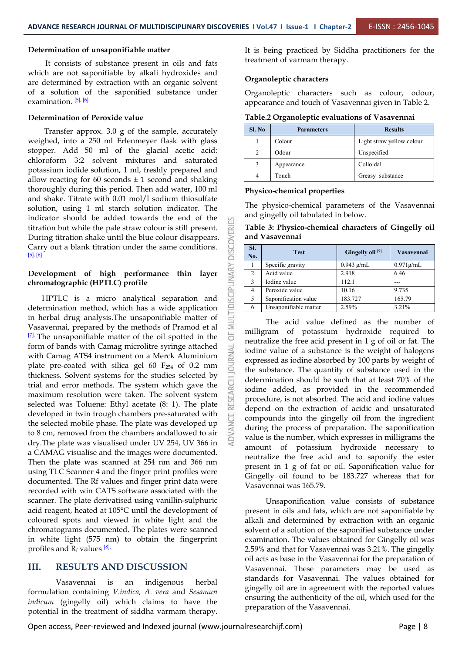#### **Determination of unsaponifiable matter**

It consists of substance present in oils and fats which are not saponifiable by alkali hydroxides and are determined by extraction with an organic solvent of a solution of the saponified substance under examination. <sup>[5], [6]</sup>

#### **Determination of Peroxide value**

Transfer approx. 3.0 g of the sample, accurately weighed, into a 250 ml Erlenmeyer flask with glass stopper. Add 50 ml of the glacial acetic acid: chloroform 3:2 solvent mixtures and saturated potassium iodide solution, 1 ml, freshly prepared and allow reacting for 60 seconds  $\pm$  1 second and shaking thoroughly during this period. Then add water, 100 ml and shake. Titrate with 0.01 mol/l sodium thiosulfate solution, using 1 ml starch solution indicator. The indicator should be added towards the end of the titration but while the pale straw colour is still present. During titration shake until the blue colour disappears.<br>Carry out a blank titration under the same conditions. Carry out a blank titration under the same conditions. [5], [6]

## **Development** of high performance thin layer<br>
chromatographic (HPTLC) profile<br>  $\frac{1}{2}$ <br>
LIDTLG **chromatographic (HPTLC) profile**

HPTLC is a micro analytical separation and determination method, which has a wide application<br>in herbal drug analysis.The unsaponifiable matter of in herbal drug analysis.The unsaponifiable matter of Vasavennai, prepared by the methods of Pramod et al  $\overline{\geq}$  [7]. The unsaponifiable matter of the oil spotted in the  $[7]$ . The unsaponifiable matter of the oil spotted in the form of bands with Camag microlitre syringe attached with Camag ATS4 instrument on a Merck Aluminium with Camag ATS4 instrument on a Merck Aluminium plate pre-coated with silica gel 60 F<sub>254</sub> of 0.2 mm  $\frac{3}{6}$ thickness. Solvent systems for the studies selected by trial and error methods. The system which gave the maximum resolution were taken. The solvent system selected was Toluene: Ethyl acetate (8: 1). The plate developed in twin trough chambers pre-saturated with<br>the selected mobile phase. The plate was developed up the selected mobile phase. The plate was developed up to 8 cm, removed from the chambers andallowed to air dry.The plate was visualised under UV 254, UV 366 in a CAMAG visualise and the images were documented. Then the plate was scanned at 254 nm and 366 nm using TLC Scanner 4 and the finger print profiles were documented. The Rf values and finger print data were<br>Vasavennai was 165.79. recorded with win CATS software associated with the scanner. The plate derivatised using vanillin-sulphuric acid reagent, heated at 105°C until the development of coloured spots and viewed in white light and the chromatograms documented. The plates were scanned in white light (575 nm) to obtain the fingerprint profiles and  $R_f$  values  $^{[8]}$ .

#### **III. RESULTS AND DISCUSSION**

Vasavennai is an indigenous herbal formulation containing *V.indica, A. vera* and *Sesamun indicum* (gingelly oil) which claims to have the potential in the treatment of siddha varmam therapy.

It is being practiced by Siddha practitioners for the treatment of varmam therapy.

#### **Organoleptic characters**

Organoleptic characters such as colour, odour, appearance and touch of Vasavennai given in Table 2.

| Table.2 Organoleptic evaluations of Vasavennai |  |
|------------------------------------------------|--|
|                                                |  |

| Sl. No         | <b>Parameters</b> | <b>Results</b>            |
|----------------|-------------------|---------------------------|
|                | Colour            | Light straw yellow colour |
| $\mathfrak{D}$ | Odour             | Unspecified               |
|                | Appearance        | Colloidal                 |
| 4              | Touch             | Greasy substance          |

#### **Physico-chemical properties**

The physico-chemical parameters of the Vasavennai and gingelly oil tabulated in below.

**Table 3: Physico-chemical characters of Gingelly oil and Vasavennai**

| SI.<br>No.     | <b>Test</b>           | Gingelly oil <sup>[9]</sup> | Vasavennai   |
|----------------|-----------------------|-----------------------------|--------------|
|                | Specific gravity      | $0.943$ g/mL                | $0.971$ g/mL |
| 2              | Acid value            | 2.918                       | 6.46         |
| 3              | Iodine value          | 112.1                       |              |
| $\overline{4}$ | Peroxide value        | 10.16                       | 9.735        |
| 5              | Saponification value  | 183.727                     | 165.79       |
| 6              | Unsaponifiable matter | 2.59%                       | 3.21%        |

The acid value defined as the number of milligram of potassium hydroxide required to neutralize the free acid present in 1 g of oil or fat. The iodine value of a substance is the weight of halogens expressed as iodine absorbed by 100 parts by weight of the substance. The quantity of substance used in the determination should be such that at least 70% of the iodine added, as provided in the recommended procedure, is not absorbed. The acid and iodine values depend on the extraction of acidic and unsaturated compounds into the gingelly oil from the ingredient during the process of preparation. The saponification value is the number, which expresses in milligrams the amount of potassium hydroxide necessary to neutralize the free acid and to saponify the ester present in 1 g of fat or oil. Saponification value for Gingelly oil found to be 183.727 whereas that for

Unsaponification value consists of substance present in oils and fats, which are not saponifiable by alkali and determined by extraction with an organic solvent of a solution of the saponified substance under examination. The values obtained for Gingelly oil was 2.59% and that for Vasavennai was 3.21%. The gingelly oil acts as base in the Vasavennai for the preparation of Vasavennai. These parameters may be used as standards for Vasavennai. The values obtained for gingelly oil are in agreement with the reported values ensuring the authenticity of the oil, which used for the preparation of the Vasavennai.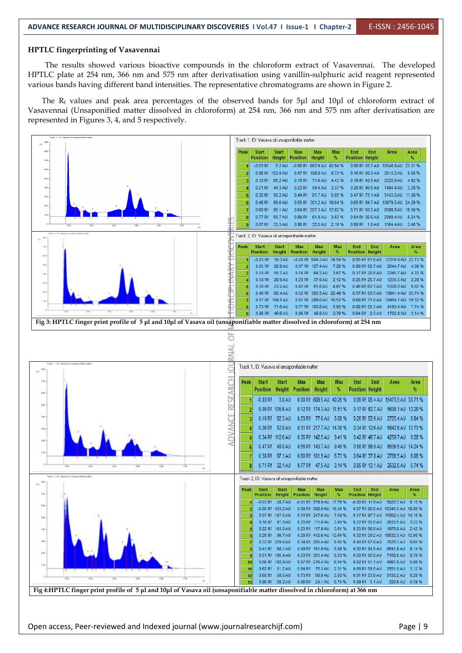#### **HPTLC fingerprinting of Vasavennai**

The results showed various bioactive compounds in the chloroform extract of Vasavennai. The developed HPTLC plate at 254 nm, 366 nm and 575 nm after derivatisation using vanillin-sulphuric acid reagent represented various bands having different band intensities. The representative chromatograms are shown in Figure 2.

The R<sub>f</sub> values and peak area percentages of the observed bands for 5μl and 10μl of chloroform extract of Vasavennai (Unsaponified matter dissolved in chloroform) at 254 nm, 366 nm and 575 nm after derivatisation are represented in Figures 3, 4, and 5 respectively.



Open access, Peer-reviewed and Indexed journal (www.journalresearchijf.com) Page |9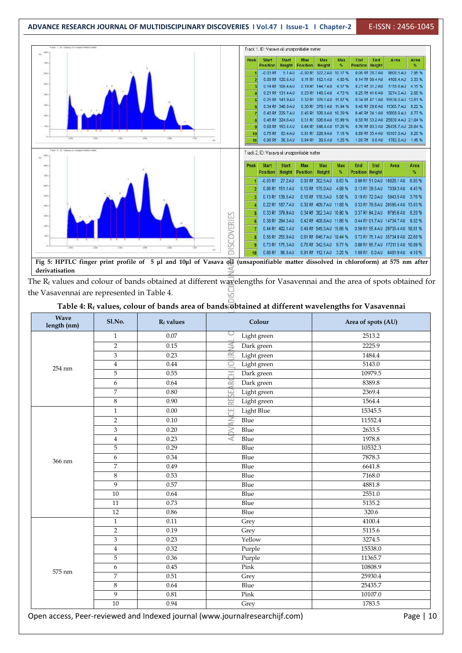

The  $R_f$  values and colour of bands obtained at different wavelengths for Vasavennai and the area of spots obtained for the Vasavennai are represented in Table 4.

#### **Table 4: R<sup>f</sup> values, colour of bands area of bands obtained at different wavelengths for Vasavennai**

| <b>Wave</b><br>length (nm) | Sl.No.         | $R_f$ values | Colour                      | Area of spots (AU) |
|----------------------------|----------------|--------------|-----------------------------|--------------------|
|                            | $\mathbf{1}$   | 0.07         | Light green                 | 2513.2             |
|                            | 2              | 0.15         | Ş<br>Dark green             | 2225.9             |
|                            | 3              | 0.23         | 民<br>Light green            | 1484.4             |
| 254 nm                     | $\overline{4}$ | 0.44         | $\subseteq$<br>Light green  | 5143.0             |
|                            | 5              | 0.55         | H<br>Dark green             | 10979.5            |
|                            | 6              | 0.64         | Dark green<br>$\alpha$      | 8389.8             |
|                            | $\overline{7}$ | 0.80         | Light green<br>L1<br>$\cup$ | 2369.4             |
|                            | 8              | 0.90         | RE.<br>Light green          | 1564.4             |
|                            | $\mathbf{1}$   | $0.00\,$     | ШJ<br>Light Blue<br>Ū       | 15345.5            |
|                            | $\overline{2}$ | 0.10         | $\leq$<br>Blue              | 11552.4            |
|                            | $\mathfrak{Z}$ | 0.20         | $\geq$<br>Blue              | 2633.5             |
|                            | $\overline{4}$ | 0.23         | $\prec$<br>Blue             | 1978.8             |
|                            | $\mathbf 5$    | 0.29         | Blue                        | 10532.3            |
| 366 nm                     | 6              | 0.34         | Blue                        | 7878.3             |
|                            | 7              | 0.49         | Blue                        | 6641.8             |
|                            | $\,8\,$        | 0.53         | Blue                        | 7168.0             |
|                            | 9              | 0.57         | Blue                        | 4881.8             |
|                            | 10             | 0.64         | Blue                        | 2551.0             |
|                            | 11             | 0.73         | <b>Blue</b>                 | 5135.2             |
|                            | 12             | 0.86         | Blue                        | 320.6              |
|                            | $\mathbf{1}$   | 0.11         | Grey                        | 4100.4             |
|                            | $\overline{2}$ | 0.19         | Grey                        | 5115.6             |
|                            | 3              | 0.23         | Yellow                      | 3274.5             |
|                            | $\overline{4}$ | 0.32         | Purple                      | 15538.0            |
|                            | 5              | 0.36         | Purple                      | 11365.7            |
|                            | 6              | 0.45         | Pink                        | 10808.9            |
| 575 nm                     | $\overline{7}$ | 0.51         | Grey                        | 25930.4            |
|                            | $\,8\,$        | 0.64         | Blue                        | 25435.7            |
|                            | 9              | 0.81         | Pink                        | 10107.0            |
|                            | 10             | 0.94         | Grey                        | 1783.5             |

Open access, Peer-reviewed and Indexed journal (www.journalresearchijf.com) example are not the Page | 10